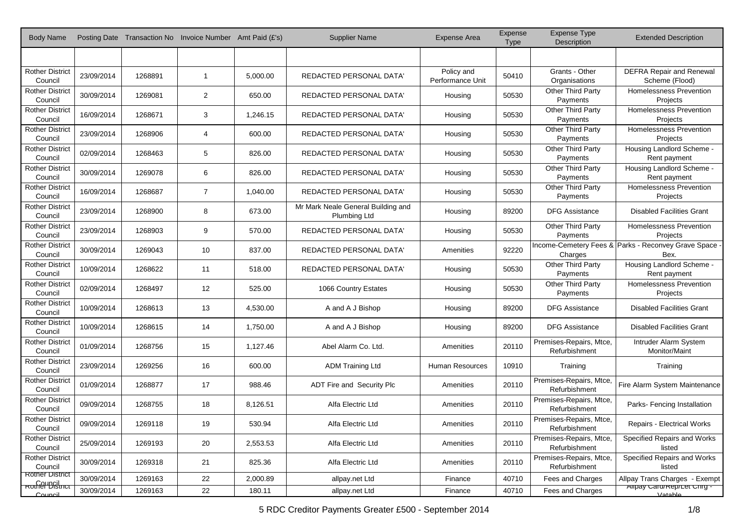| Body Name                                 |            |         | Posting Date Transaction No Invoice Number Amt Paid (£'s) |          | <b>Supplier Name</b>                                      | <b>Expense Area</b>            | Expense<br><b>Type</b> | <b>Expense Type</b><br>Description       | <b>Extended Description</b>                                 |
|-------------------------------------------|------------|---------|-----------------------------------------------------------|----------|-----------------------------------------------------------|--------------------------------|------------------------|------------------------------------------|-------------------------------------------------------------|
|                                           |            |         |                                                           |          |                                                           |                                |                        |                                          |                                                             |
| <b>Rother District</b><br>Council         | 23/09/2014 | 1268891 | $\overline{1}$                                            | 5,000.00 | REDACTED PERSONAL DATA'                                   | Policy and<br>Performance Unit | 50410                  | Grants - Other<br>Organisations          | <b>DEFRA Repair and Renewal</b><br>Scheme (Flood)           |
| <b>Rother District</b><br>Council         | 30/09/2014 | 1269081 | $\overline{2}$                                            | 650.00   | REDACTED PERSONAL DATA'                                   | Housing                        | 50530                  | Other Third Party<br>Payments            | <b>Homelessness Prevention</b><br>Projects                  |
| <b>Rother District</b><br>Council         | 16/09/2014 | 1268671 | 3                                                         | 1,246.15 | REDACTED PERSONAL DATA'                                   | Housing                        | 50530                  | Other Third Party<br>Payments            | Homelessness Prevention<br>Projects                         |
| <b>Rother District</b><br>Council         | 23/09/2014 | 1268906 | $\overline{4}$                                            | 600.00   | <b>REDACTED PERSONAL DATA'</b>                            | Housing                        | 50530                  | Other Third Party<br>Payments            | Homelessness Prevention<br>Projects                         |
| <b>Rother District</b><br>Council         | 02/09/2014 | 1268463 | 5                                                         | 826.00   | <b>REDACTED PERSONAL DATA'</b>                            | Housing                        | 50530                  | Other Third Party<br>Payments            | Housing Landlord Scheme -<br>Rent payment                   |
| <b>Rother District</b><br>Council         | 30/09/2014 | 1269078 | 6                                                         | 826.00   | REDACTED PERSONAL DATA'                                   | Housing                        | 50530                  | Other Third Party<br>Payments            | Housing Landlord Scheme -<br>Rent payment                   |
| <b>Rother District</b><br>Council         | 16/09/2014 | 1268687 | $\overline{7}$                                            | 1,040.00 | REDACTED PERSONAL DATA'                                   | Housing                        | 50530                  | Other Third Party<br>Payments            | Homelessness Prevention<br>Projects                         |
| <b>Rother District</b><br>Council         | 23/09/2014 | 1268900 | 8                                                         | 673.00   | Mr Mark Neale General Building and<br><b>Plumbing Ltd</b> | Housing                        | 89200                  | <b>DFG Assistance</b>                    | <b>Disabled Facilities Grant</b>                            |
| <b>Rother District</b><br>Council         | 23/09/2014 | 1268903 | 9                                                         | 570.00   | REDACTED PERSONAL DATA'                                   | Housing                        | 50530                  | Other Third Party<br>Payments            | <b>Homelessness Prevention</b><br>Projects                  |
| <b>Rother District</b><br>Council         | 30/09/2014 | 1269043 | 10                                                        | 837.00   | REDACTED PERSONAL DATA'                                   | Amenities                      | 92220                  | Charges                                  | Income-Cemetery Fees & Parks - Reconvey Grave Space<br>Bex. |
| <b>Rother District</b><br>Council         | 10/09/2014 | 1268622 | 11                                                        | 518.00   | REDACTED PERSONAL DATA'                                   | Housing                        | 50530                  | Other Third Party<br>Payments            | Housing Landlord Scheme -<br>Rent payment                   |
| <b>Rother District</b><br>Council         | 02/09/2014 | 1268497 | 12                                                        | 525.00   | 1066 Country Estates                                      | Housing                        | 50530                  | Other Third Party<br>Payments            | Homelessness Prevention<br>Projects                         |
| <b>Rother District</b><br>Council         | 10/09/2014 | 1268613 | 13                                                        | 4,530.00 | A and A J Bishop                                          | Housing                        | 89200                  | <b>DFG Assistance</b>                    | <b>Disabled Facilities Grant</b>                            |
| <b>Rother District</b><br>Council         | 10/09/2014 | 1268615 | 14                                                        | 1,750.00 | A and A J Bishop                                          | Housing                        | 89200                  | <b>DFG Assistance</b>                    | <b>Disabled Facilities Grant</b>                            |
| <b>Rother District</b><br>Council         | 01/09/2014 | 1268756 | 15                                                        | 1,127.46 | Abel Alarm Co. Ltd.                                       | Amenities                      | 20110                  | Premises-Repairs, Mtce,<br>Refurbishment | Intruder Alarm System<br>Monitor/Maint                      |
| <b>Rother District</b><br>Council         | 23/09/2014 | 1269256 | 16                                                        | 600.00   | <b>ADM Training Ltd</b>                                   | <b>Human Resources</b>         | 10910                  | Training                                 | Training                                                    |
| <b>Rother District</b><br>Council         | 01/09/2014 | 1268877 | 17                                                        | 988.46   | ADT Fire and Security Plc                                 | Amenities                      | 20110                  | Premises-Repairs, Mtce,<br>Refurbishment | Fire Alarm System Maintenance                               |
| <b>Rother District</b><br>Council         | 09/09/2014 | 1268755 | 18                                                        | 8,126.51 | Alfa Electric Ltd                                         | Amenities                      | 20110                  | Premises-Repairs, Mtce,<br>Refurbishment | Parks- Fencing Installation                                 |
| <b>Rother District</b><br>Council         | 09/09/2014 | 1269118 | 19                                                        | 530.94   | Alfa Electric Ltd                                         | Amenities                      | 20110                  | Premises-Repairs, Mtce,<br>Refurbishment | Repairs - Electrical Works                                  |
| <b>Rother District</b><br>Council         | 25/09/2014 | 1269193 | 20                                                        | 2,553.53 | Alfa Electric Ltd                                         | Amenities                      | 20110                  | Premises-Repairs, Mtce,<br>Refurbishment | Specified Repairs and Works<br>listed                       |
| <b>Rother District</b><br>Council         | 30/09/2014 | 1269318 | 21                                                        | 825.36   | Alfa Electric Ltd                                         | Amenities                      | 20110                  | Premises-Repairs, Mtce,<br>Refurbishment | Specified Repairs and Works<br>listed                       |
| <b>Rother District</b><br>Rother District | 30/09/2014 | 1269163 | 22                                                        | 2,000.89 | allpay.net Ltd                                            | Finance                        | 40710                  | Fees and Charges                         | Allpay Trans Charges - Exempt<br>Alipay Card/Rep/Let Chrg - |
| Council                                   | 30/09/2014 | 1269163 | 22                                                        | 180.11   | allpay.net Ltd                                            | Finance                        | 40710                  | Fees and Charges                         | Vatable                                                     |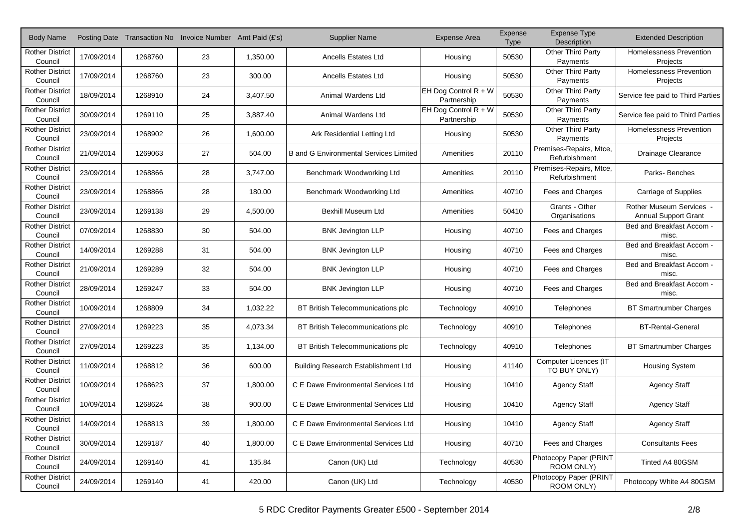| <b>Body Name</b>                  |            |         | Posting Date Transaction No Invoice Number Amt Paid (£'s) |          | <b>Supplier Name</b>                          | <b>Expense Area</b>                   | Expense<br><b>Type</b> | Expense Type<br><b>Description</b>       | <b>Extended Description</b>                           |
|-----------------------------------|------------|---------|-----------------------------------------------------------|----------|-----------------------------------------------|---------------------------------------|------------------------|------------------------------------------|-------------------------------------------------------|
| <b>Rother District</b><br>Council | 17/09/2014 | 1268760 | 23                                                        | 1,350.00 | <b>Ancells Estates Ltd</b>                    | Housing                               | 50530                  | Other Third Party<br>Payments            | Homelessness Prevention<br>Projects                   |
| <b>Rother District</b><br>Council | 17/09/2014 | 1268760 | 23                                                        | 300.00   | <b>Ancells Estates Ltd</b>                    | Housing                               | 50530                  | Other Third Party<br>Payments            | Homelessness Prevention<br>Projects                   |
| <b>Rother District</b><br>Council | 18/09/2014 | 1268910 | 24                                                        | 3,407.50 | Animal Wardens Ltd                            | EH Dog Control $R + W$<br>Partnership | 50530                  | Other Third Party<br>Payments            | Service fee paid to Third Parties                     |
| <b>Rother District</b><br>Council | 30/09/2014 | 1269110 | 25                                                        | 3,887.40 | Animal Wardens Ltd                            | EH Dog Control $R + W$<br>Partnership | 50530                  | Other Third Party<br>Payments            | Service fee paid to Third Parties                     |
| <b>Rother District</b><br>Council | 23/09/2014 | 1268902 | 26                                                        | 1,600.00 | Ark Residential Letting Ltd                   | Housing                               | 50530                  | Other Third Party<br>Payments            | Homelessness Prevention<br>Projects                   |
| <b>Rother District</b><br>Council | 21/09/2014 | 1269063 | 27                                                        | 504.00   | <b>B</b> and G Environmental Services Limited | Amenities                             | 20110                  | Premises-Repairs, Mtce,<br>Refurbishment | Drainage Clearance                                    |
| <b>Rother District</b><br>Council | 23/09/2014 | 1268866 | 28                                                        | 3,747.00 | Benchmark Woodworking Ltd                     | Amenities                             | 20110                  | Premises-Repairs, Mtce,<br>Refurbishment | Parks-Benches                                         |
| <b>Rother District</b><br>Council | 23/09/2014 | 1268866 | 28                                                        | 180.00   | Benchmark Woodworking Ltd                     | Amenities                             | 40710                  | Fees and Charges                         | Carriage of Supplies                                  |
| <b>Rother District</b><br>Council | 23/09/2014 | 1269138 | 29                                                        | 4,500.00 | Bexhill Museum Ltd                            | Amenities                             | 50410                  | Grants - Other<br>Organisations          | Rother Museum Services<br><b>Annual Support Grant</b> |
| <b>Rother District</b><br>Council | 07/09/2014 | 1268830 | 30                                                        | 504.00   | <b>BNK Jevington LLP</b>                      | Housing                               | 40710                  | Fees and Charges                         | Bed and Breakfast Accom -<br>misc.                    |
| <b>Rother District</b><br>Council | 14/09/2014 | 1269288 | 31                                                        | 504.00   | <b>BNK Jevington LLP</b>                      | Housing                               | 40710                  | Fees and Charges                         | Bed and Breakfast Accom -<br>misc.                    |
| <b>Rother District</b><br>Council | 21/09/2014 | 1269289 | 32                                                        | 504.00   | <b>BNK Jevington LLP</b>                      | Housing                               | 40710                  | Fees and Charges                         | Bed and Breakfast Accom -<br>misc.                    |
| <b>Rother District</b><br>Council | 28/09/2014 | 1269247 | 33                                                        | 504.00   | <b>BNK Jevington LLP</b>                      | Housing                               | 40710                  | Fees and Charges                         | Bed and Breakfast Accom -<br>misc.                    |
| <b>Rother District</b><br>Council | 10/09/2014 | 1268809 | 34                                                        | 1,032.22 | BT British Telecommunications plc             | Technology                            | 40910                  | Telephones                               | <b>BT Smartnumber Charges</b>                         |
| <b>Rother District</b><br>Council | 27/09/2014 | 1269223 | 35                                                        | 4,073.34 | BT British Telecommunications plc             | Technology                            | 40910                  | Telephones                               | <b>BT-Rental-General</b>                              |
| <b>Rother District</b><br>Council | 27/09/2014 | 1269223 | 35                                                        | 1,134.00 | BT British Telecommunications plc             | Technology                            | 40910                  | Telephones                               | <b>BT Smartnumber Charges</b>                         |
| <b>Rother District</b><br>Council | 11/09/2014 | 1268812 | 36                                                        | 600.00   | <b>Building Research Establishment Ltd</b>    | Housing                               | 41140                  | Computer Licences (IT<br>TO BUY ONLY)    | <b>Housing System</b>                                 |
| <b>Rother District</b><br>Council | 10/09/2014 | 1268623 | 37                                                        | 1,800.00 | C E Dawe Environmental Services Ltd           | Housing                               | 10410                  | <b>Agency Staff</b>                      | <b>Agency Staff</b>                                   |
| <b>Rother District</b><br>Council | 10/09/2014 | 1268624 | 38                                                        | 900.00   | C E Dawe Environmental Services Ltd           | Housing                               | 10410                  | <b>Agency Staff</b>                      | <b>Agency Staff</b>                                   |
| <b>Rother District</b><br>Council | 14/09/2014 | 1268813 | 39                                                        | 1,800.00 | C E Dawe Environmental Services Ltd           | Housing                               | 10410                  | <b>Agency Staff</b>                      | <b>Agency Staff</b>                                   |
| <b>Rother District</b><br>Council | 30/09/2014 | 1269187 | 40                                                        | 1,800.00 | C E Dawe Environmental Services Ltd           | Housing                               | 40710                  | Fees and Charges                         | <b>Consultants Fees</b>                               |
| <b>Rother District</b><br>Council | 24/09/2014 | 1269140 | 41                                                        | 135.84   | Canon (UK) Ltd                                | Technology                            | 40530                  | Photocopy Paper (PRINT<br>ROOM ONLY)     | Tinted A4 80GSM                                       |
| <b>Rother District</b><br>Council | 24/09/2014 | 1269140 | 41                                                        | 420.00   | Canon (UK) Ltd                                | Technology                            | 40530                  | Photocopy Paper (PRINT<br>ROOM ONLY)     | Photocopy White A4 80GSM                              |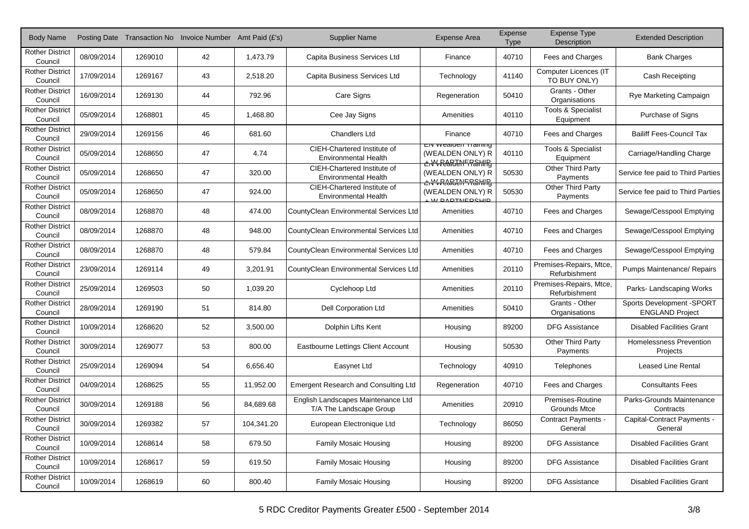| <b>Body Name</b>                  |            |         | Posting Date Transaction No Invoice Number Amt Paid (£'s) |            | <b>Supplier Name</b>                                          | <b>Expense Area</b>                                           | Expense<br><b>Type</b> | Expense Type<br>Description                | <b>Extended Description</b>                          |
|-----------------------------------|------------|---------|-----------------------------------------------------------|------------|---------------------------------------------------------------|---------------------------------------------------------------|------------------------|--------------------------------------------|------------------------------------------------------|
| <b>Rother District</b><br>Council | 08/09/2014 | 1269010 | 42                                                        | 1,473.79   | Capita Business Services Ltd                                  | Finance                                                       | 40710                  | Fees and Charges                           | <b>Bank Charges</b>                                  |
| <b>Rother District</b><br>Council | 17/09/2014 | 1269167 | 43                                                        | 2,518.20   | Capita Business Services Ltd                                  | Technology                                                    | 41140                  | Computer Licences (IT<br>TO BUY ONLY)      | Cash Receipting                                      |
| <b>Rother District</b><br>Council | 16/09/2014 | 1269130 | 44                                                        | 792.96     | Care Signs                                                    | Regeneration                                                  | 50410                  | Grants - Other<br>Organisations            | Rye Marketing Campaign                               |
| <b>Rother District</b><br>Council | 05/09/2014 | 1268801 | 45                                                        | 1.468.80   | Cee Jay Signs                                                 | Amenities                                                     | 40110                  | Tools & Specialist<br>Equipment            | Purchase of Signs                                    |
| <b>Rother District</b><br>Council | 29/09/2014 | 1269156 | 46                                                        | 681.60     | <b>Chandlers Ltd</b>                                          | Finance                                                       | 40710                  | Fees and Charges                           | <b>Bailiff Fees-Council Tax</b>                      |
| <b>Rother District</b><br>Council | 05/09/2014 | 1268650 | 47                                                        | 4.74       | CIEH-Chartered Institute of<br><b>Environmental Health</b>    | Elv vvealden Training<br>(WEALDEN ONLY) R                     | 40110                  | <b>Tools &amp; Specialist</b><br>Equipment | Carriage/Handling Charge                             |
| <b>Rother District</b><br>Council | 05/09/2014 | 1268650 | 47                                                        | 320.00     | CIEH-Chartered Institute of<br><b>Environmental Health</b>    | <b>ENWREATENFRAHIRG</b><br>(WEALDEN ONLY) R                   | 50530                  | Other Third Party<br>Payments              | Service fee paid to Third Parties                    |
| <b>Rother District</b><br>Council | 05/09/2014 | 1268650 | 47                                                        | 924.00     | CIEH-Chartered Institute of<br><b>Environmental Health</b>    | <b>ENWREADENFRAHIR</b><br>(WEALDEN ONLY) R<br>L W DARTNERSHIP | 50530                  | Other Third Party<br>Payments              | Service fee paid to Third Parties                    |
| <b>Rother District</b><br>Council | 08/09/2014 | 1268870 | 48                                                        | 474.00     | CountyClean Environmental Services Ltd                        | Amenities                                                     | 40710                  | Fees and Charges                           | Sewage/Cesspool Emptying                             |
| <b>Rother District</b><br>Council | 08/09/2014 | 1268870 | 48                                                        | 948.00     | CountyClean Environmental Services Ltd                        | Amenities                                                     | 40710                  | Fees and Charges                           | Sewage/Cesspool Emptying                             |
| <b>Rother District</b><br>Council | 08/09/2014 | 1268870 | 48                                                        | 579.84     | CountyClean Environmental Services Ltd                        | Amenities                                                     | 40710                  | Fees and Charges                           | Sewage/Cesspool Emptying                             |
| <b>Rother District</b><br>Council | 23/09/2014 | 1269114 | 49                                                        | 3,201.91   | CountyClean Environmental Services Ltd                        | Amenities                                                     | 20110                  | Premises-Repairs, Mtce,<br>Refurbishment   | Pumps Maintenance/ Repairs                           |
| <b>Rother District</b><br>Council | 25/09/2014 | 1269503 | 50                                                        | 1,039.20   | Cyclehoop Ltd                                                 | Amenities                                                     | 20110                  | Premises-Repairs, Mtce,<br>Refurbishment   | Parks-Landscaping Works                              |
| <b>Rother District</b><br>Council | 28/09/2014 | 1269190 | 51                                                        | 814.80     | <b>Dell Corporation Ltd</b>                                   | Amenities                                                     | 50410                  | Grants - Other<br>Organisations            | Sports Development - SPORT<br><b>ENGLAND Project</b> |
| <b>Rother District</b><br>Council | 10/09/2014 | 1268620 | 52                                                        | 3,500.00   | Dolphin Lifts Kent                                            | Housing                                                       | 89200                  | <b>DFG Assistance</b>                      | <b>Disabled Facilities Grant</b>                     |
| <b>Rother District</b><br>Council | 30/09/2014 | 1269077 | 53                                                        | 800.00     | Eastbourne Lettings Client Account                            | Housing                                                       | 50530                  | Other Third Party<br>Payments              | <b>Homelessness Prevention</b><br>Projects           |
| <b>Rother District</b><br>Council | 25/09/2014 | 1269094 | 54                                                        | 6,656.40   | Easynet Ltd                                                   | Technology                                                    | 40910                  | Telephones                                 | <b>Leased Line Rental</b>                            |
| <b>Rother District</b><br>Council | 04/09/2014 | 1268625 | 55                                                        | 11,952.00  | <b>Emergent Research and Consulting Ltd</b>                   | Regeneration                                                  | 40710                  | Fees and Charges                           | <b>Consultants Fees</b>                              |
| <b>Rother District</b><br>Council | 30/09/2014 | 1269188 | 56                                                        | 84.689.68  | English Landscapes Maintenance Ltd<br>T/A The Landscape Group | Amenities                                                     | 20910                  | Premises-Routine<br><b>Grounds Mtce</b>    | Parks-Grounds Maintenance<br>Contracts               |
| <b>Rother District</b><br>Council | 30/09/2014 | 1269382 | 57                                                        | 104,341.20 | European Electronique Ltd                                     | Technology                                                    | 86050                  | <b>Contract Payments -</b><br>General      | Capital-Contract Payments -<br>General               |
| <b>Rother District</b><br>Council | 10/09/2014 | 1268614 | 58                                                        | 679.50     | <b>Family Mosaic Housing</b>                                  | Housing                                                       | 89200                  | <b>DFG Assistance</b>                      | <b>Disabled Facilities Grant</b>                     |
| <b>Rother District</b><br>Council | 10/09/2014 | 1268617 | 59                                                        | 619.50     | <b>Family Mosaic Housing</b>                                  | Housing                                                       | 89200                  | <b>DFG Assistance</b>                      | <b>Disabled Facilities Grant</b>                     |
| <b>Rother District</b><br>Council | 10/09/2014 | 1268619 | 60                                                        | 800.40     | <b>Family Mosaic Housing</b>                                  | Housing                                                       | 89200                  | <b>DFG Assistance</b>                      | <b>Disabled Facilities Grant</b>                     |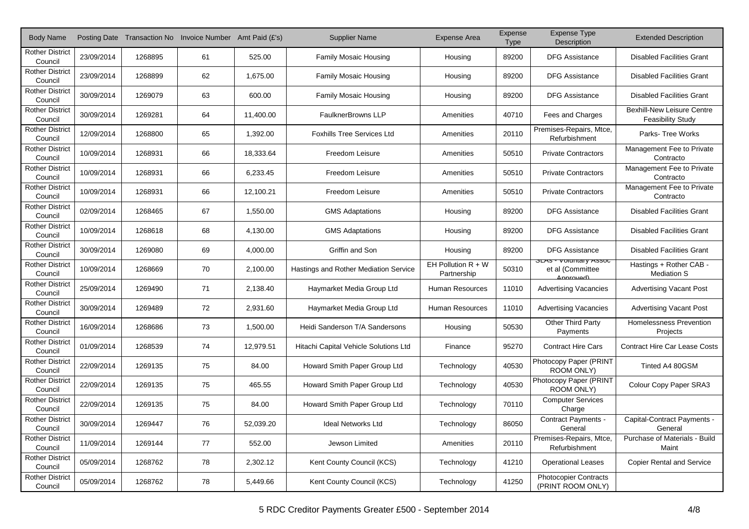| <b>Body Name</b>                  |            |         | Posting Date Transaction No Invoice Number Amt Paid (£'s) |           | <b>Supplier Name</b>                  | <b>Expense Area</b>                 | Expense<br><b>Type</b> | <b>Expense Type</b><br>Description                               | <b>Extended Description</b>                                   |
|-----------------------------------|------------|---------|-----------------------------------------------------------|-----------|---------------------------------------|-------------------------------------|------------------------|------------------------------------------------------------------|---------------------------------------------------------------|
| <b>Rother District</b><br>Council | 23/09/2014 | 1268895 | 61                                                        | 525.00    | <b>Family Mosaic Housing</b>          | Housing                             | 89200                  | <b>DFG Assistance</b>                                            | <b>Disabled Facilities Grant</b>                              |
| <b>Rother District</b><br>Council | 23/09/2014 | 1268899 | 62                                                        | 1,675.00  | <b>Family Mosaic Housing</b>          | Housing                             | 89200                  | <b>DFG Assistance</b>                                            | <b>Disabled Facilities Grant</b>                              |
| <b>Rother District</b><br>Council | 30/09/2014 | 1269079 | 63                                                        | 600.00    | Family Mosaic Housing                 | Housing                             | 89200                  | <b>DFG Assistance</b>                                            | <b>Disabled Facilities Grant</b>                              |
| <b>Rother District</b><br>Council | 30/09/2014 | 1269281 | 64                                                        | 11,400.00 | <b>FaulknerBrowns LLP</b>             | Amenities                           | 40710                  | Fees and Charges                                                 | <b>Bexhill-New Leisure Centre</b><br><b>Feasibility Study</b> |
| <b>Rother District</b><br>Council | 12/09/2014 | 1268800 | 65                                                        | 1,392.00  | <b>Foxhills Tree Services Ltd</b>     | Amenities                           | 20110                  | Premises-Repairs, Mtce,<br>Refurbishment                         | Parks- Tree Works                                             |
| <b>Rother District</b><br>Council | 10/09/2014 | 1268931 | 66                                                        | 18,333.64 | Freedom Leisure                       | Amenities                           | 50510                  | <b>Private Contractors</b>                                       | Management Fee to Private<br>Contracto                        |
| <b>Rother District</b><br>Council | 10/09/2014 | 1268931 | 66                                                        | 6,233.45  | Freedom Leisure                       | Amenities                           | 50510                  | <b>Private Contractors</b>                                       | Management Fee to Private<br>Contracto                        |
| <b>Rother District</b><br>Council | 10/09/2014 | 1268931 | 66                                                        | 12,100.21 | Freedom Leisure                       | Amenities                           | 50510                  | <b>Private Contractors</b>                                       | Management Fee to Private<br>Contracto                        |
| <b>Rother District</b><br>Council | 02/09/2014 | 1268465 | 67                                                        | 1,550.00  | <b>GMS Adaptations</b>                | Housing                             | 89200                  | <b>DFG Assistance</b>                                            | <b>Disabled Facilities Grant</b>                              |
| <b>Rother District</b><br>Council | 10/09/2014 | 1268618 | 68                                                        | 4.130.00  | <b>GMS Adaptations</b>                | Housing                             | 89200                  | <b>DFG Assistance</b>                                            | <b>Disabled Facilities Grant</b>                              |
| <b>Rother District</b><br>Council | 30/09/2014 | 1269080 | 69                                                        | 4,000.00  | Griffin and Son                       | Housing                             | 89200                  | <b>DFG Assistance</b>                                            | <b>Disabled Facilities Grant</b>                              |
| <b>Rother District</b><br>Council | 10/09/2014 | 1268669 | 70                                                        | 2,100.00  | Hastings and Rother Mediation Service | EH Pollution $R + W$<br>Partnership | 50310                  | <b>SLAS - VOIUITIAI Y ASSOC</b><br>et al (Committee<br>Annrouadl | Hastings + Rother CAB -<br><b>Mediation S</b>                 |
| <b>Rother District</b><br>Council | 25/09/2014 | 1269490 | 71                                                        | 2,138.40  | Haymarket Media Group Ltd             | <b>Human Resources</b>              | 11010                  | <b>Advertising Vacancies</b>                                     | <b>Advertising Vacant Post</b>                                |
| <b>Rother District</b><br>Council | 30/09/2014 | 1269489 | 72                                                        | 2,931.60  | Haymarket Media Group Ltd             | <b>Human Resources</b>              | 11010                  | <b>Advertising Vacancies</b>                                     | <b>Advertising Vacant Post</b>                                |
| <b>Rother District</b><br>Council | 16/09/2014 | 1268686 | 73                                                        | 1,500.00  | Heidi Sanderson T/A Sandersons        | Housing                             | 50530                  | Other Third Party<br>Payments                                    | Homelessness Prevention<br>Projects                           |
| <b>Rother District</b><br>Council | 01/09/2014 | 1268539 | 74                                                        | 12,979.51 | Hitachi Capital Vehicle Solutions Ltd | Finance                             | 95270                  | <b>Contract Hire Cars</b>                                        | <b>Contract Hire Car Lease Costs</b>                          |
| <b>Rother District</b><br>Council | 22/09/2014 | 1269135 | 75                                                        | 84.00     | Howard Smith Paper Group Ltd          | Technology                          | 40530                  | Photocopy Paper (PRINT<br>ROOM ONLY)                             | Tinted A4 80GSM                                               |
| <b>Rother District</b><br>Council | 22/09/2014 | 1269135 | 75                                                        | 465.55    | Howard Smith Paper Group Ltd          | Technology                          | 40530                  | Photocopy Paper (PRINT<br>ROOM ONLY)                             | Colour Copy Paper SRA3                                        |
| <b>Rother District</b><br>Council | 22/09/2014 | 1269135 | 75                                                        | 84.00     | Howard Smith Paper Group Ltd          | Technology                          | 70110                  | <b>Computer Services</b><br>Charge                               |                                                               |
| <b>Rother District</b><br>Council | 30/09/2014 | 1269447 | 76                                                        | 52,039.20 | <b>Ideal Networks Ltd</b>             | Technology                          | 86050                  | <b>Contract Payments -</b><br>General                            | Capital-Contract Payments -<br>General                        |
| <b>Rother District</b><br>Council | 11/09/2014 | 1269144 | 77                                                        | 552.00    | Jewson Limited                        | Amenities                           | 20110                  | Premises-Repairs, Mtce,<br>Refurbishment                         | Purchase of Materials - Build<br>Maint                        |
| <b>Rother District</b><br>Council | 05/09/2014 | 1268762 | 78                                                        | 2,302.12  | Kent County Council (KCS)             | Technology                          | 41210                  | <b>Operational Leases</b>                                        | <b>Copier Rental and Service</b>                              |
| <b>Rother District</b><br>Council | 05/09/2014 | 1268762 | 78                                                        | 5,449.66  | Kent County Council (KCS)             | Technology                          | 41250                  | <b>Photocopier Contracts</b><br>(PRINT ROOM ONLY)                |                                                               |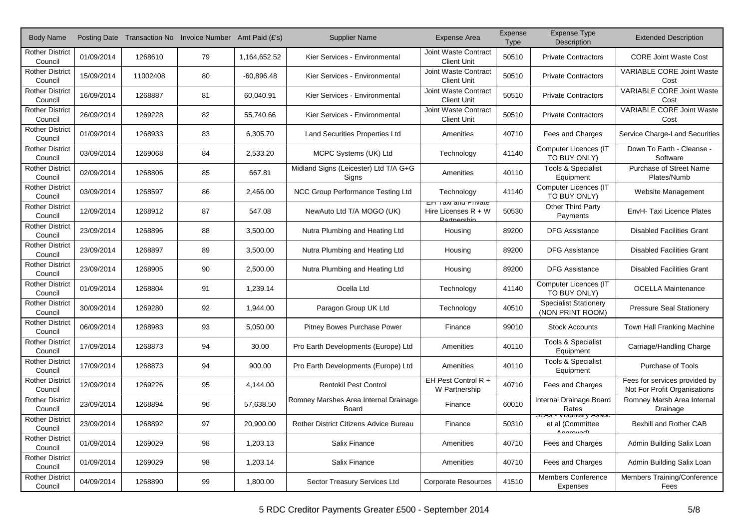| <b>Body Name</b>                  |            |          | Posting Date Transaction No Invoice Number Amt Paid (£'s) |              | <b>Supplier Name</b>                                  | <b>Expense Area</b>                                                      | Expense<br><b>Type</b> | <b>Expense Type</b><br>Description                              | <b>Extended Description</b>                                   |
|-----------------------------------|------------|----------|-----------------------------------------------------------|--------------|-------------------------------------------------------|--------------------------------------------------------------------------|------------------------|-----------------------------------------------------------------|---------------------------------------------------------------|
| <b>Rother District</b><br>Council | 01/09/2014 | 1268610  | 79                                                        | 1,164,652.52 | Kier Services - Environmental                         | Joint Waste Contract<br><b>Client Unit</b>                               | 50510                  | <b>Private Contractors</b>                                      | <b>CORE Joint Waste Cost</b>                                  |
| <b>Rother District</b><br>Council | 15/09/2014 | 11002408 | 80                                                        | $-60,896.48$ | Kier Services - Environmental                         | Joint Waste Contract<br><b>Client Unit</b>                               | 50510                  | <b>Private Contractors</b>                                      | <b>VARIABLE CORE Joint Waste</b><br>Cost                      |
| <b>Rother District</b><br>Council | 16/09/2014 | 1268887  | 81                                                        | 60,040.91    | Kier Services - Environmental                         | Joint Waste Contract<br><b>Client Unit</b>                               | 50510                  | <b>Private Contractors</b>                                      | <b>VARIABLE CORE Joint Waste</b><br>Cost                      |
| <b>Rother District</b><br>Council | 26/09/2014 | 1269228  | 82                                                        | 55,740.66    | Kier Services - Environmental                         | Joint Waste Contract<br><b>Client Unit</b>                               | 50510                  | <b>Private Contractors</b>                                      | <b>VARIABLE CORE Joint Waste</b><br>Cost                      |
| <b>Rother District</b><br>Council | 01/09/2014 | 1268933  | 83                                                        | 6,305.70     | <b>Land Securities Properties Ltd</b>                 | Amenities                                                                | 40710                  | Fees and Charges                                                | Service Charge-Land Securities                                |
| <b>Rother District</b><br>Council | 03/09/2014 | 1269068  | 84                                                        | 2,533.20     | MCPC Systems (UK) Ltd                                 | Technology                                                               | 41140                  | Computer Licences (IT<br>TO BUY ONLY)                           | Down To Earth - Cleanse -<br>Software                         |
| <b>Rother District</b><br>Council | 02/09/2014 | 1268806  | 85                                                        | 667.81       | Midland Signs (Leicester) Ltd T/A G+G<br>Signs        | Amenities                                                                | 40110                  | <b>Tools &amp; Specialist</b><br>Equipment                      | Purchase of Street Name<br>Plates/Numb                        |
| <b>Rother District</b><br>Council | 03/09/2014 | 1268597  | 86                                                        | 2,466.00     | NCC Group Performance Testing Ltd                     | Technology                                                               | 41140                  | Computer Licences (IT<br>TO BUY ONLY)                           | Website Management                                            |
| <b>Rother District</b><br>Council | 12/09/2014 | 1268912  | 87                                                        | 547.08       | NewAuto Ltd T/A MOGO (UK)                             | <b>EH TAXI AND PHVALE</b><br>Hire Licenses $R + W$<br><b>Dortnorchin</b> | 50530                  | Other Third Party<br>Payments                                   | EnvH-Taxi Licence Plates                                      |
| <b>Rother District</b><br>Council | 23/09/2014 | 1268896  | 88                                                        | 3,500.00     | Nutra Plumbing and Heating Ltd                        | Housing                                                                  | 89200                  | <b>DFG Assistance</b>                                           | <b>Disabled Facilities Grant</b>                              |
| <b>Rother District</b><br>Council | 23/09/2014 | 1268897  | 89                                                        | 3,500.00     | Nutra Plumbing and Heating Ltd                        | Housing                                                                  | 89200                  | <b>DFG Assistance</b>                                           | <b>Disabled Facilities Grant</b>                              |
| <b>Rother District</b><br>Council | 23/09/2014 | 1268905  | 90                                                        | 2,500.00     | Nutra Plumbing and Heating Ltd                        | Housing                                                                  | 89200                  | <b>DFG Assistance</b>                                           | <b>Disabled Facilities Grant</b>                              |
| <b>Rother District</b><br>Council | 01/09/2014 | 1268804  | 91                                                        | 1,239.14     | Ocella Ltd                                            | Technology                                                               | 41140                  | Computer Licences (IT<br>TO BUY ONLY)                           | <b>OCELLA Maintenance</b>                                     |
| <b>Rother District</b><br>Council | 30/09/2014 | 1269280  | 92                                                        | 1,944.00     | Paragon Group UK Ltd                                  | Technology                                                               | 40510                  | <b>Specialist Stationery</b><br>(NON PRINT ROOM)                | <b>Pressure Seal Stationery</b>                               |
| <b>Rother District</b><br>Council | 06/09/2014 | 1268983  | 93                                                        | 5,050.00     | Pitney Bowes Purchase Power                           | Finance                                                                  | 99010                  | <b>Stock Accounts</b>                                           | Town Hall Franking Machine                                    |
| <b>Rother District</b><br>Council | 17/09/2014 | 1268873  | 94                                                        | 30.00        | Pro Earth Developments (Europe) Ltd                   | Amenities                                                                | 40110                  | <b>Tools &amp; Specialist</b><br>Equipment                      | Carriage/Handling Charge                                      |
| <b>Rother District</b><br>Council | 17/09/2014 | 1268873  | 94                                                        | 900.00       | Pro Earth Developments (Europe) Ltd                   | Amenities                                                                | 40110                  | <b>Tools &amp; Specialist</b><br>Equipment                      | Purchase of Tools                                             |
| <b>Rother District</b><br>Council | 12/09/2014 | 1269226  | 95                                                        | 4,144.00     | <b>Rentokil Pest Control</b>                          | EH Pest Control R +<br>W Partnership                                     | 40710                  | Fees and Charges                                                | Fees for services provided by<br>Not For Profit Organisations |
| <b>Rother District</b><br>Council | 23/09/2014 | 1268894  | 96                                                        | 57,638.50    | Romney Marshes Area Internal Drainage<br><b>Board</b> | Finance                                                                  | 60010                  | Internal Drainage Board<br>Rates                                | Romney Marsh Area Internal<br>Drainage                        |
| <b>Rother District</b><br>Council | 23/09/2014 | 1268892  | 97                                                        | 20,900.00    | Rother District Citizens Advice Bureau                | Finance                                                                  | 50310                  | <b>OLAS - VUIUITIAI y ASSUC</b><br>et al (Committee<br>Annomial | Bexhill and Rother CAB                                        |
| <b>Rother District</b><br>Council | 01/09/2014 | 1269029  | 98                                                        | 1,203.13     | Salix Finance                                         | Amenities                                                                | 40710                  | Fees and Charges                                                | Admin Building Salix Loan                                     |
| <b>Rother District</b><br>Council | 01/09/2014 | 1269029  | 98                                                        | 1,203.14     | Salix Finance                                         | Amenities                                                                | 40710                  | Fees and Charges                                                | Admin Building Salix Loan                                     |
| <b>Rother District</b><br>Council | 04/09/2014 | 1268890  | 99                                                        | 1,800.00     | Sector Treasury Services Ltd                          | <b>Corporate Resources</b>                                               | 41510                  | <b>Members Conference</b><br>Expenses                           | Members Training/Conference<br>Fees                           |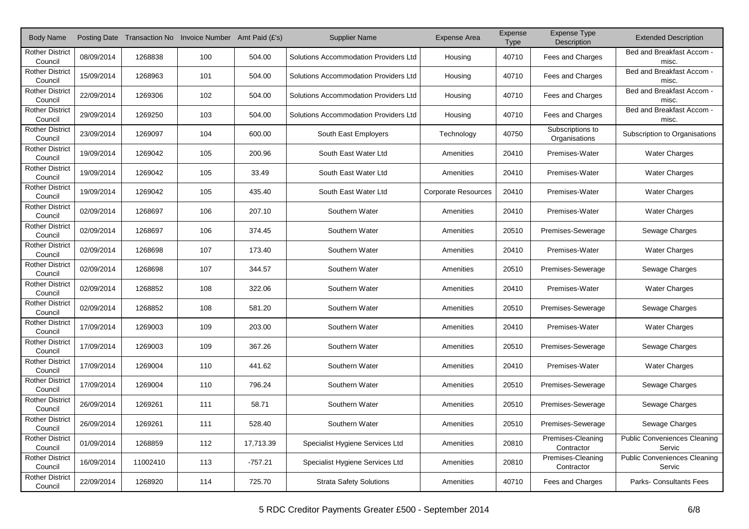| <b>Body Name</b>                  |            |          | Posting Date Transaction No Invoice Number Amt Paid (£'s) |           | <b>Supplier Name</b>                  | <b>Expense Area</b>        | Expense<br><b>Type</b> | <b>Expense Type</b><br>Description | <b>Extended Description</b>                   |
|-----------------------------------|------------|----------|-----------------------------------------------------------|-----------|---------------------------------------|----------------------------|------------------------|------------------------------------|-----------------------------------------------|
| <b>Rother District</b><br>Council | 08/09/2014 | 1268838  | 100                                                       | 504.00    | Solutions Accommodation Providers Ltd | Housing                    | 40710                  | Fees and Charges                   | Bed and Breakfast Accom -<br>misc.            |
| <b>Rother District</b><br>Council | 15/09/2014 | 1268963  | 101                                                       | 504.00    | Solutions Accommodation Providers Ltd | Housing                    | 40710                  | Fees and Charges                   | Bed and Breakfast Accom -<br>misc.            |
| <b>Rother District</b><br>Council | 22/09/2014 | 1269306  | 102                                                       | 504.00    | Solutions Accommodation Providers Ltd | Housing                    | 40710                  | Fees and Charges                   | Bed and Breakfast Accom -<br>misc.            |
| <b>Rother District</b><br>Council | 29/09/2014 | 1269250  | 103                                                       | 504.00    | Solutions Accommodation Providers Ltd | Housing                    | 40710                  | Fees and Charges                   | Bed and Breakfast Accom -<br>misc.            |
| <b>Rother District</b><br>Council | 23/09/2014 | 1269097  | 104                                                       | 600.00    | South East Employers                  | Technology                 | 40750                  | Subscriptions to<br>Organisations  | Subscription to Organisations                 |
| <b>Rother District</b><br>Council | 19/09/2014 | 1269042  | 105                                                       | 200.96    | South East Water Ltd                  | Amenities                  | 20410                  | Premises-Water                     | Water Charges                                 |
| <b>Rother District</b><br>Council | 19/09/2014 | 1269042  | 105                                                       | 33.49     | South East Water Ltd                  | Amenities                  | 20410                  | Premises-Water                     | <b>Water Charges</b>                          |
| <b>Rother District</b><br>Council | 19/09/2014 | 1269042  | 105                                                       | 435.40    | South East Water Ltd                  | <b>Corporate Resources</b> | 20410                  | Premises-Water                     | <b>Water Charges</b>                          |
| <b>Rother District</b><br>Council | 02/09/2014 | 1268697  | 106                                                       | 207.10    | Southern Water                        | Amenities                  | 20410                  | Premises-Water                     | <b>Water Charges</b>                          |
| <b>Rother District</b><br>Council | 02/09/2014 | 1268697  | 106                                                       | 374.45    | Southern Water                        | Amenities                  | 20510                  | Premises-Sewerage                  | Sewage Charges                                |
| <b>Rother District</b><br>Council | 02/09/2014 | 1268698  | 107                                                       | 173.40    | Southern Water                        | Amenities                  | 20410                  | Premises-Water                     | <b>Water Charges</b>                          |
| <b>Rother District</b><br>Council | 02/09/2014 | 1268698  | 107                                                       | 344.57    | Southern Water                        | Amenities                  | 20510                  | Premises-Sewerage                  | Sewage Charges                                |
| <b>Rother District</b><br>Council | 02/09/2014 | 1268852  | 108                                                       | 322.06    | Southern Water                        | Amenities                  | 20410                  | Premises-Water                     | <b>Water Charges</b>                          |
| <b>Rother District</b><br>Council | 02/09/2014 | 1268852  | 108                                                       | 581.20    | Southern Water                        | Amenities                  | 20510                  | Premises-Sewerage                  | Sewage Charges                                |
| <b>Rother District</b><br>Council | 17/09/2014 | 1269003  | 109                                                       | 203.00    | Southern Water                        | Amenities                  | 20410                  | Premises-Water                     | <b>Water Charges</b>                          |
| <b>Rother District</b><br>Council | 17/09/2014 | 1269003  | 109                                                       | 367.26    | Southern Water                        | Amenities                  | 20510                  | Premises-Sewerage                  | Sewage Charges                                |
| <b>Rother District</b><br>Council | 17/09/2014 | 1269004  | 110                                                       | 441.62    | Southern Water                        | Amenities                  | 20410                  | Premises-Water                     | <b>Water Charges</b>                          |
| <b>Rother District</b><br>Council | 17/09/2014 | 1269004  | 110                                                       | 796.24    | Southern Water                        | Amenities                  | 20510                  | Premises-Sewerage                  | Sewage Charges                                |
| <b>Rother District</b><br>Council | 26/09/2014 | 1269261  | 111                                                       | 58.71     | Southern Water                        | Amenities                  | 20510                  | Premises-Sewerage                  | Sewage Charges                                |
| <b>Rother District</b><br>Council | 26/09/2014 | 1269261  | 111                                                       | 528.40    | Southern Water                        | Amenities                  | 20510                  | Premises-Sewerage                  | Sewage Charges                                |
| <b>Rother District</b><br>Council | 01/09/2014 | 1268859  | 112                                                       | 17,713.39 | Specialist Hygiene Services Ltd       | Amenities                  | 20810                  | Premises-Cleaning<br>Contractor    | <b>Public Conveniences Cleaning</b><br>Servic |
| <b>Rother District</b><br>Council | 16/09/2014 | 11002410 | 113                                                       | $-757.21$ | Specialist Hygiene Services Ltd       | Amenities                  | 20810                  | Premises-Cleaning<br>Contractor    | <b>Public Conveniences Cleaning</b><br>Servic |
| <b>Rother District</b><br>Council | 22/09/2014 | 1268920  | 114                                                       | 725.70    | <b>Strata Safety Solutions</b>        | Amenities                  | 40710                  | Fees and Charges                   | Parks- Consultants Fees                       |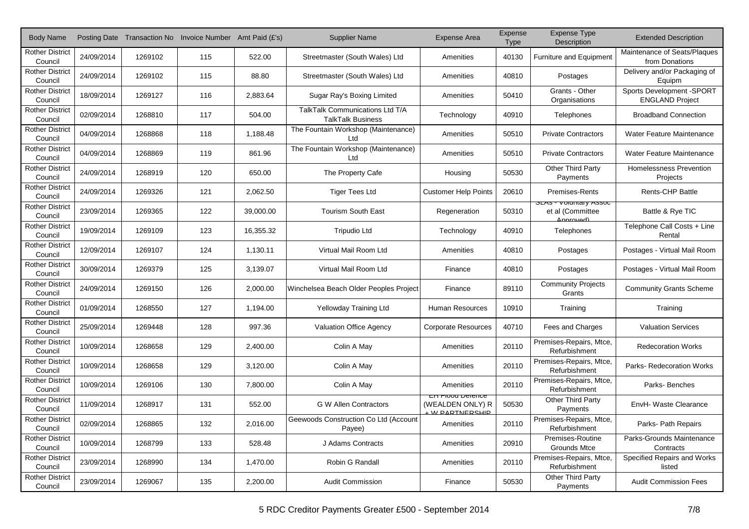| <b>Body Name</b>                  |            |         | Posting Date Transaction No Invoice Number Amt Paid (£'s) |           | <b>Supplier Name</b>                                        | <b>Expense Area</b>                                                     | Expense<br><b>Type</b> | <b>Expense Type</b><br>Description                             | <b>Extended Description</b>                         |
|-----------------------------------|------------|---------|-----------------------------------------------------------|-----------|-------------------------------------------------------------|-------------------------------------------------------------------------|------------------------|----------------------------------------------------------------|-----------------------------------------------------|
| <b>Rother District</b><br>Council | 24/09/2014 | 1269102 | 115                                                       | 522.00    | Streetmaster (South Wales) Ltd                              | Amenities                                                               | 40130                  | <b>Furniture and Equipment</b>                                 | Maintenance of Seats/Plaques<br>from Donations      |
| <b>Rother District</b><br>Council | 24/09/2014 | 1269102 | 115                                                       | 88.80     | Streetmaster (South Wales) Ltd                              | Amenities                                                               | 40810                  | Postages                                                       | Delivery and/or Packaging of<br>Equipm              |
| <b>Rother District</b><br>Council | 18/09/2014 | 1269127 | 116                                                       | 2,883.64  | Sugar Ray's Boxing Limited                                  | Amenities                                                               | 50410                  | Grants - Other<br>Organisations                                | Sports Development -SPORT<br><b>ENGLAND Project</b> |
| <b>Rother District</b><br>Council | 02/09/2014 | 1268810 | 117                                                       | 504.00    | TalkTalk Communications Ltd T/A<br><b>TalkTalk Business</b> | Technology                                                              | 40910                  | Telephones                                                     | <b>Broadband Connection</b>                         |
| <b>Rother District</b><br>Council | 04/09/2014 | 1268868 | 118                                                       | 1,188.48  | The Fountain Workshop (Maintenance)<br>Ltd                  | Amenities                                                               | 50510                  | <b>Private Contractors</b>                                     | Water Feature Maintenance                           |
| <b>Rother District</b><br>Council | 04/09/2014 | 1268869 | 119                                                       | 861.96    | The Fountain Workshop (Maintenance)<br>Ltd                  | Amenities                                                               | 50510                  | <b>Private Contractors</b>                                     | Water Feature Maintenance                           |
| <b>Rother District</b><br>Council | 24/09/2014 | 1268919 | 120                                                       | 650.00    | The Property Cafe                                           | Housing                                                                 | 50530                  | Other Third Party<br>Payments                                  | Homelessness Prevention<br>Projects                 |
| <b>Rother District</b><br>Council | 24/09/2014 | 1269326 | 121                                                       | 2,062.50  | <b>Tiger Tees Ltd</b>                                       | <b>Customer Help Points</b>                                             | 20610                  | <b>Premises-Rents</b>                                          | <b>Rents-CHP Battle</b>                             |
| <b>Rother District</b><br>Council | 23/09/2014 | 1269365 | 122                                                       | 39,000.00 | <b>Tourism South East</b>                                   | Regeneration                                                            | 50310                  | <b>SLAS - VOIDITIALY ASSOC</b><br>et al (Committee<br>Annrovad | Battle & Rye TIC                                    |
| <b>Rother District</b><br>Council | 19/09/2014 | 1269109 | 123                                                       | 16.355.32 | <b>Tripudio Ltd</b>                                         | Technology                                                              | 40910                  | Telephones                                                     | Telephone Call Costs + Line<br>Rental               |
| <b>Rother District</b><br>Council | 12/09/2014 | 1269107 | 124                                                       | 1,130.11  | Virtual Mail Room Ltd                                       | Amenities                                                               | 40810                  | Postages                                                       | Postages - Virtual Mail Room                        |
| <b>Rother District</b><br>Council | 30/09/2014 | 1269379 | 125                                                       | 3,139.07  | Virtual Mail Room Ltd                                       | Finance                                                                 | 40810                  | Postages                                                       | Postages - Virtual Mail Room                        |
| <b>Rother District</b><br>Council | 24/09/2014 | 1269150 | 126                                                       | 2,000.00  | Winchelsea Beach Older Peoples Project                      | Finance                                                                 | 89110                  | <b>Community Projects</b><br>Grants                            | <b>Community Grants Scheme</b>                      |
| <b>Rother District</b><br>Council | 01/09/2014 | 1268550 | 127                                                       | 1,194.00  | Yellowday Training Ltd                                      | <b>Human Resources</b>                                                  | 10910                  | Training                                                       | Training                                            |
| <b>Rother District</b><br>Council | 25/09/2014 | 1269448 | 128                                                       | 997.36    | <b>Valuation Office Agency</b>                              | <b>Corporate Resources</b>                                              | 40710                  | Fees and Charges                                               | <b>Valuation Services</b>                           |
| <b>Rother District</b><br>Council | 10/09/2014 | 1268658 | 129                                                       | 2,400.00  | Colin A May                                                 | Amenities                                                               | 20110                  | Premises-Repairs, Mtce,<br>Refurbishment                       | <b>Redecoration Works</b>                           |
| <b>Rother District</b><br>Council | 10/09/2014 | 1268658 | 129                                                       | 3,120.00  | Colin A May                                                 | Amenities                                                               | 20110                  | Premises-Repairs, Mtce,<br>Refurbishment                       | Parks-Redecoration Works                            |
| <b>Rother District</b><br>Council | 10/09/2014 | 1269106 | 130                                                       | 7,800.00  | Colin A May                                                 | Amenities                                                               | 20110                  | Premises-Repairs, Mtce,<br>Refurbishment                       | Parks-Benches                                       |
| <b>Rother District</b><br>Council | 11/09/2014 | 1268917 | 131                                                       | 552.00    | <b>G W Allen Contractors</b>                                | <del>EN Flood Delence</del><br>(WEALDEN ONLY) R<br><b>M DADTNEDCLID</b> | 50530                  | Other Third Party<br>Payments                                  | EnvH- Waste Clearance                               |
| <b>Rother District</b><br>Council | 02/09/2014 | 1268865 | 132                                                       | 2,016.00  | Geewoods Construction Co Ltd (Account<br>Payee)             | Amenities                                                               | 20110                  | Premises-Repairs, Mtce,<br>Refurbishment                       | Parks- Path Repairs                                 |
| <b>Rother District</b><br>Council | 10/09/2014 | 1268799 | 133                                                       | 528.48    | J Adams Contracts                                           | Amenities                                                               | 20910                  | Premises-Routine<br><b>Grounds Mtce</b>                        | Parks-Grounds Maintenance<br>Contracts              |
| <b>Rother District</b><br>Council | 23/09/2014 | 1268990 | 134                                                       | 1,470.00  | Robin G Randall                                             | Amenities                                                               | 20110                  | Premises-Repairs, Mtce,<br>Refurbishment                       | Specified Repairs and Works<br>listed               |
| <b>Rother District</b><br>Council | 23/09/2014 | 1269067 | 135                                                       | 2,200.00  | <b>Audit Commission</b>                                     | Finance                                                                 | 50530                  | Other Third Party<br>Payments                                  | <b>Audit Commission Fees</b>                        |